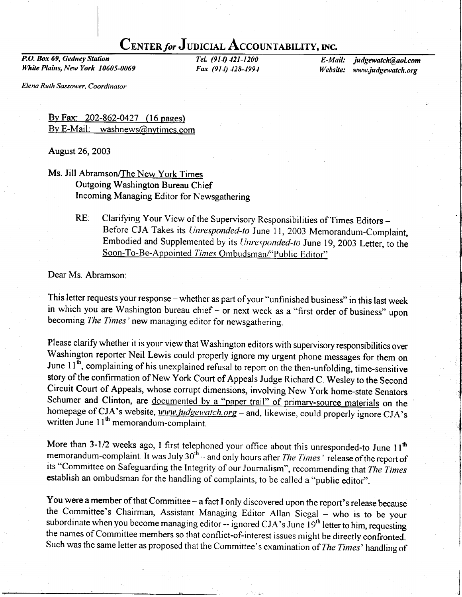### CENTER for JUDICIAL ACCOUNTABILITY, INC.

P.O. Box 69, Gedney Station White Plains, New York 10605-0069

Tel. (914) 421-1200 Fax (914) 428-4994

E-Mail: judgewatch@aol.com Website: www.judgewatch.org

Elena Ruth Sassower, Coordinator

By Fax:  $202-862-0427$  (16 pages) By E-Mail: washnews@nytimes.com

August 26,2003

Ms. Jill Abramson/The New York Times Outgoing Washington Bureau Chief Incoming Managing Editor for Newsgathering

> RE: Clarifying Your View of the Supervisory Responsibilities of Times Editors -Before CJA Takes its Unresponded-to June 11, 2003 Memorandum-Complaint, Embodied and Supplemented by its Unresponded-to June 19, 2003 Letter, to the Soon-To-Be-Appointed Times Ombudsman/"Public Editor"

Dear Ms. Abramson:

This letter requests your response - whether as part of your "unfinished business" in this last week in which you are Washington bureau chief - or next week as a "first order of business" upon becoming The Times' new managing editor for newsgathering.

Please clarify whether it is your view that Washington editors with supervisory responsibilities over Washington reporter Neil Lewis could properly ignore my urgent phone messages for them on June  $11^{\text{th}}$ , complaining of his unexplained refusal to report on the then-unfolding, time-sensitive story of the confirmation of New York Court of Appeals Judge Richard C. Wesley to the Second Circuit Court of Appeals, whose corrupt dimensions, involving New York home-state Senators Schumer and Clinton, are documented by a "paper trail" of primary-source materials on the homepage of CJA's website, www.judgewatch.org - and, likewise, could properly ignore CJA's written June 11<sup>th</sup> memorandum-complaint.

More than  $3-1/2$  weeks ago, I first telephoned your office about this unresponded-to June  $11<sup>th</sup>$ memorandum-complaint. It was July  $30<sup>th</sup>$  - and only hours after *The Times'* release of the report of its "Committee on Safeguarding the Integrity of our Journalism", recommending that The Times establish an ombudsman for the handling of complaints, to be called a "public editor".

You were a member of that Committee - a fact I only discovered upon the report's release because the Committee's Chairman, Assistant Managing Editor Allan Siegal - who is to be your subordinate when you become managing editor  $-$  ignored CJA's June  $19<sup>th</sup>$  letter to him, requesting the names of Committee members so that conflict-of-interest issues might be directly confronted. Such was the same letter as proposed that the Committee's examination of The Times' handling of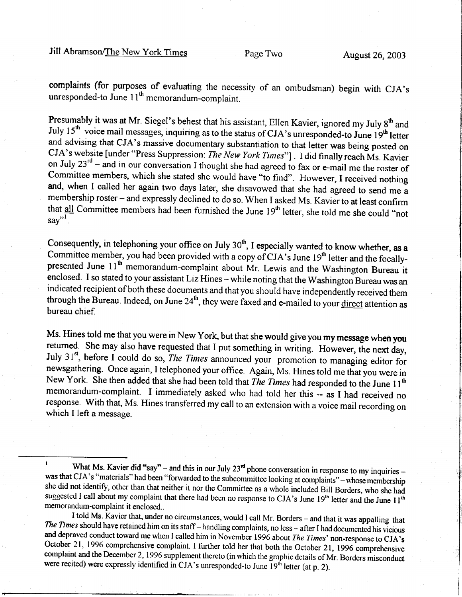complaints (for purposes of evaluating the necessity of an ombudsman) begin with CJA's unresponded-to June  $11<sup>th</sup>$  memorandum-complaint.

**Presumably it was at Mr.** Siegel's behest that his assistant, Ellen Kavier, ignored my July 8<sup>th</sup> and<br>July 15<sup>th</sup> voice mail messages, inquiring as to the status of CJA's unresponded-to June 19<sup>th</sup> letter<br>and advising th Committee members, which she stated she would have "to find". However, I received nothing and, when I called her again two days later, she disavowed that she had agreed to send me a membership roster - and expressly declined to do so. When I asked Ms. Kavier to at least confirm that all Committee members had been furnished the June 19<sup>th</sup> letter, she told me she could "not  $\text{say}^{3,1}$ .

Consequently, in telephoning your office on July 30<sup>th</sup>, I especially wanted to know whether, as a Committee member, you had been provided with a copy of CJA's June 19<sup>th</sup> letter and the focallypresented June 11<sup>th</sup> memorandum-complaint about Mr. Lewis and the Washington Bureau it enclosed. I so stated to your assistant Liz Hines - while noting that the Washington Bureau was an indicated recipient of both these documents and that you should have independently received them through the Bureau. Indeed, on June  $24<sup>th</sup>$ , they were faxed and e-mailed to your direct attention as bureau chief.

Ms. Hines told me that you were in New York, but that she would give you my message when you returned. She may also have requested that I put something in writing. However, the next day, July 31 $^{st}$ , before I could do so, *The Times* announced your promotion to managing editor for newsgathering. Once again, I telephoned your office. Again, Ms. Hines told me that you were in<br>New York. She then added that she had been told that *The Times* had responded to the June 11<sup>th</sup> memorandum-complaint. I immediately asked who had told her this -- as I had received no response. With that, Ms. Hines transferred my call to an extension with a voice mail recording on which I left a message.

The Times should have retained him on its staff – handling complaints, no less – after I had documented his vicious and depraved conduct toward me when I called him in November 1996 about *The Times'* non-response to CJA's complaint and the December 2, 1996 supplement thereto (in which the graphic details of Mr. Borders misconduct were recited) were expressly identified in CJA's unresponded-to June  $19<sup>th</sup>$  letter (at p. 2).

What Ms. Kavier did "say" – and this in our July  $23<sup>rd</sup>$  phone conversation in response to my inquiries – was that CJA's "materials" had been "forwarded to the subcommittee looking at complaints" – whose membership she did not identify, other than that neither it nor the Committee as a whole included Bill Borders, who she had suggested I call about my complaint that there had been no response to CJA's June 19<sup>th</sup> letter and the June 11<sup>th</sup><br>memorandum-complaint it enclosed..<br>I told Ms. Kavier that, under no circumstances, would I call Mr. Border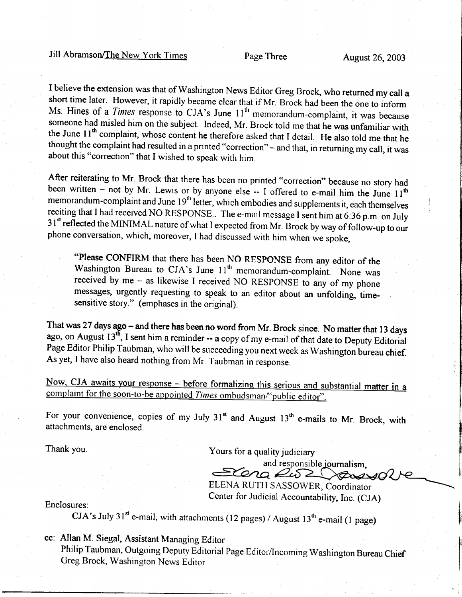I believe the extension was that of Washington News Editor Greg Brock, who returned my call a short time later. However, it rapidly became clear that if Mr. Brock had been the one to inform Ms. Hines of a *Times* response to CJA's June  $11<sup>th</sup>$  memorandum-complaint, it was because someone had misled him on the subject. Indeed, Mr. Brock told me that he was unfamiliar with the June  $11^{th}$  complaint, whose content he therefore asked that I detail. He also told me that he thought the complaint had resulted in a printed "correction" – and that, in returning my call, it was about this "correct

After reiterating to Mr. Brock that there has been no printed "correction" because no story had<br>been written – not by Mr. Lewis or by anyone else -- I offered to e-mail him the June 11<sup>th</sup><br>memorandum-complaint and June 19 31<sup>st</sup> reflected the MINIMAL nature of what I expected from Mr. Brock by way of follow-up to our phone conversation, which, moreover, I had discussed with him when we spoke,

"Please CONFIRM that there has been NO RESPONSE from any editor of the Washington Bureau to CJA's June 11<sup>th</sup> memorandum-complaint. None was received by me - as likewise I received NO RESPONSE to any of my phone messages, urgently requesting to speak to an editor about an unfolding, timesensitive story." (emphases in the original).

That was 27 days ago – and there has been no word from Mr. Brock since. No matter that 13 days ago, on August  $13^{th}$ , I sent him a reminder -- a copy of my e-mail of that date to Deputy Editorial Page Editor Philip Taubman, who will be succeeding you next week as Washington bureau chief. As yet, I have also heard nothing from Mr. Taubman in response.

Now, CJA awaits your response - before formalizing this serious and substantial matter in a complaint for the soon-to-be appointed Times ombudsman/"public editor".

For your convenience, copies of my July  $31<sup>st</sup>$  and August  $13<sup>th</sup>$  e-mails to Mr. Brock, with attachments, are enclosed.

Thank you. Thank you.

and responsible journalism. ELENA RUTH SASSOWER, Coordinator

Center for Judicial Accountability, Inc. (CJA)

Enclosures:

CJA's July 31<sup>st</sup> e-mail, with attachments (12 pages) / August  $13<sup>th</sup>$  e-mail (1 page)

cc: Allan M. Siegal, Assistant Managing Editor

Philip Taubman, Outgoing Deputy Editorial Page Editor/Incoming Washington Bureau Chief Greg Brock, Washington News Editor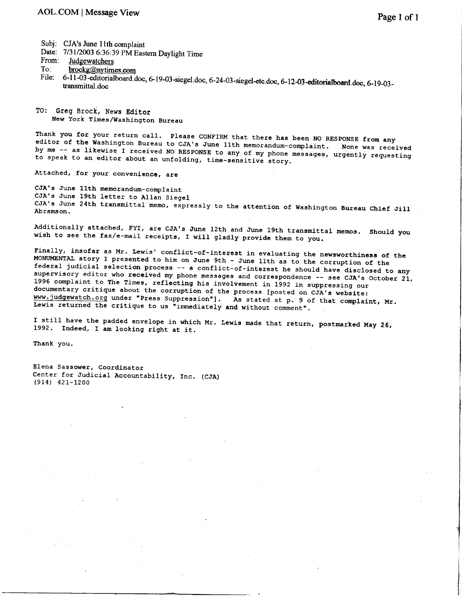Subj: CJA's June I lth complaint

Date: 7/31/2003 6:36:39 PM Eastern Daylight Time<br>From: Judgewatchers

Judgewatchers

To: brockg@nytimes.com<br>File: 6-11-03-editorialboard d

File: 6-l 143-editorialboard.doc, 6- l9{3-siegel.doc, 6-24-03-siegel-etc.doc, 6-1243-editorialboard.doc, 6-19-03- transmittal.doc

TO: Greg Brock, News Editor New York Times/Washington Bureau

Thank you for your return call. Please CONFIRM that there has been NO RESPONSE from any<br>editor of the Washington Bureau to CJA's June 11th memorandum-complaint. None was received<br>by me -- as likewise I received NO RESPONSE

Attached, for your convenience, are

CJA's June 11th memorandum-complaint CJA's June 19th letter to Allan Siegel CJA's June 24th transmittal memo, expressly to the attention of Washington Bureau Chief Ji]<br>Abramson Abramson.

Should you Additionally attached, FYI, are CJA's June 12th and June 19th transmittal memos.<br>wish to see the fax/e-mail receipts, I will gladly provide them to you.

Finally, insofar as Mr. Lewis' conflict-of-interest in evaluating the newsworthiness of the<br>MONUMENTAL story I presented to him on June 9th - June 11th as to the corruption of the<br>federal judicial selection process -- a c Lewis returned the critique to us "immediately and without comment".

I still have the padded envelope in which Mr. Lewis made that return, postmarked May 26,<br>1992 - Indeed I am lesking wich in the third 1992. Indeed, I am looking right at it.

Thank you.

Elena Sassower, Coordinator Center for Judicial Accountability, Inc. (CJA) (914) 42t-I200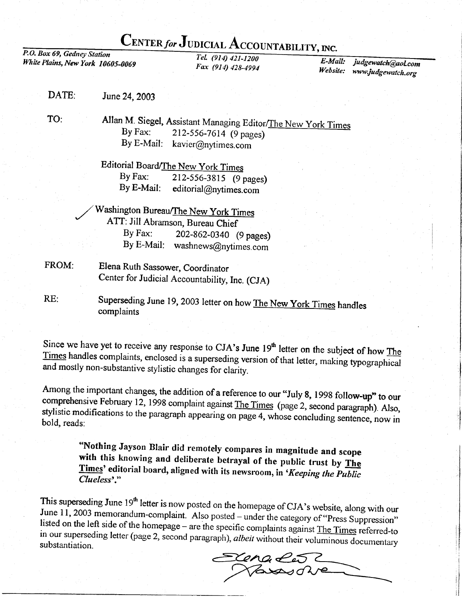# CENTER for JUDICIAL ACCOUNTABILITY, INC.<br>P.O. Box 69, Gedney Station

White Plains, New york 10605\_0069

TeL (914) 421-1200 Fax (914) 428-4994

E-Mail: Website: judgewatch@aol.com www.judgewatch.org

DATE: June24,2003

TO:

Allan M. Siegel, Assistant Managing Editor/The New York Times<br>By Fax: 212-556-7614 (9 nages) 212-556-7614 (9 pages) By E-Mail: kavier@nytimes.com

Editorial Board/The New York Times By Fax: 212-556-3815 (9 pages)<br>By E-Mail: editorial@nytimes.com editorial@nytimes.com

Washington Bureau/The New York Times<br>ATT: Jill Abramson, Bureau Chief<br>By Fax: 202-862-0340 (9 pa 202-862-0340 (9 pages) By E-Mail: washnews@nytimes.com

FROM: Elena Ruth Sassower, Coordinator Center for Judicial Accountability, Inc. (CJA)

Superseding June 19, 2003 letter on how The New York Times handles complaints RE:

Since we have yet to receive any response to CJA's June 19<sup>th</sup> letter on the subject of how The Times handles complaints, enclosed is a superseding version of that letter, making typographical and mostly non-substantive st

Among the important changes, the addition of a reference to our "July 8, 1998 follow-up" to our comprehensive February 12, 1998 complaint against The Times (page 2, second paragraph). Also, stylistic modifications to the p

"Nothing Jayson Blair did remotely compares in magnitude and scope with this knowing and deliberate betrayal of the public trust by The Times' editorial board, aligned with its newsroom, in '*Keeping the Public* Clueless'."

This superseding June  $19<sup>th</sup>$  letter is now posted on the homepage of CJA's website, along with our June 11, 2003 memorandum-complaint. Also posted – under the category of "Press Suppression" listed on the left side o substantiation. in our superseding letter (page 2, second paragraph), albeit without their voluminous documentary

 $E$ cna $d$  $\overline{\chi}$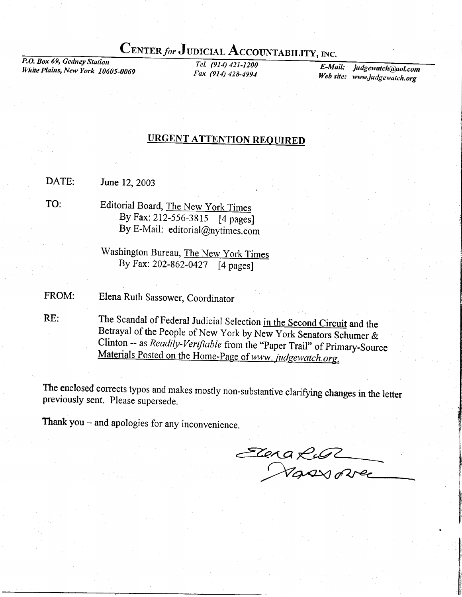## CENTER for JUDICIAL ACCOUNTABILITY, INC.

P.O. Box 69, Gedney Station White Plains, New York 10605-0069

TeL (914) 421-1200 Fax (914) 428-4994

 $E$ -Mail: Web site: www.judgewatch.or judgewatch@aoLcom

#### **URGENT ATTENTION REQUIRED**

DATE: June 12,2003

TO: Editorial Board, The New york Times By Fax: 212-556-3915 [4 pages] By E-Mail: editorial@nytimes.com

> Washington Bureau, The New York Times By Fax: 202-862-0427 [4 pages]

FROM: Elena Ruth Sassower, Coordinator

RE: The Scandal of Federal Judicial Selection in the Second Circuit and the Betrayal of the People of New York by New York Senators Schumer & Clinton -- as Readily-Verifiable from the "Paper Trail" of Primary-Source Materials Posted on the Home-Page of www. judgewatch.org.

The enclosed corrects typos and makes mostly non-substantive clarifying changes in the letter previously sent. Please supersede.

Thank you - and apologies for any inconvenience.

Elena Rusz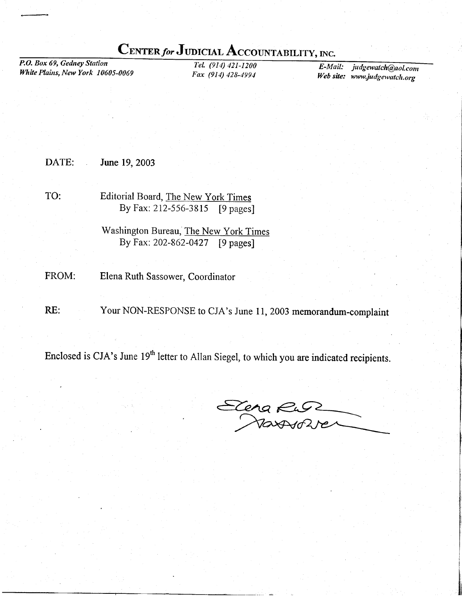### CENTER for JUDICIAL ACCOUNTABILITY, INC.

P.O. Box 69, Gedney Station White Plains, New York 10605-0069

TeL (914) 421-1200 Fox (914) 428-4991

E-Mail: judgewatch@aol.com Web site: www.judgewatch.org

i

l ift

DATE: June 19.2003

TO: Editorial Board, The New York Times By Fax: 212-556-3815 [9 pages]

> Washington Bureau, The New York Times By Fax: 202-862-0427 [9 pages]

FROM: Elena Ruth Sassower, Coordinator

RE: Your NON-RESPONSE to CJA's June 11, 2003 memorandum-complaint

Enclosed is CJA's June 19<sup>th</sup> letter to Allan Siegel, to which you are indicated recipients.

 $\epsilon$ len  $M$